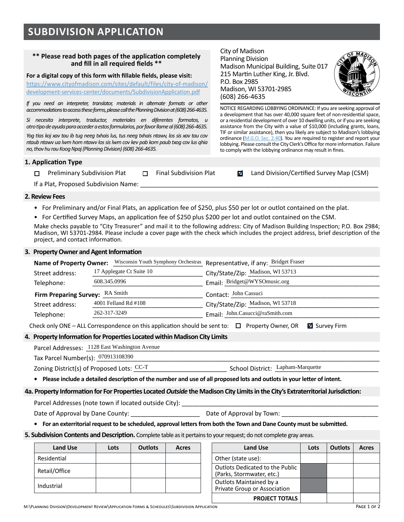### **\*\* Please read both pages of the application completely and fill in all required fields \*\***

**For a digital copy of this form with fillable fields, please visit:** 

[https://www.cityofmadison.com/sites/default/files/city-of-madison/](https://www.cityofmadison.com/sites/default/files/city-of-madison/development-services-center/documents/SubdivisionApplication.pdf) [development-services-center/documents/SubdivisionApplication.pdf](https://www.cityofmadison.com/sites/default/files/city-of-madison/development-services-center/documents/SubdivisionApplication.pdf)

If you need an interpreter, translator, materials in alternate formats or other *accommodations to access these forms, please call the Planning Division at (608) 266-4635.* 

*Si necesita interprete, traductor, materiales en diferentes formatos, u otro tipo de ayuda para acceder a estos formularios, por favor llame al (608) 266-4635.*

*Yog tias koj xav tau ib tug neeg txhais lus, tus neeg txhais ntawv, los sis xav tau cov ntaub ntawv ua lwm hom ntawv los sis lwm cov kev pab kom paub txog cov lus qhia no, thov hu rau Koog Npaj (Planning Division) (608) 266-4635.*

### **1. Application Type**

□ Preliminary Subdivision Plat □ Final Subdivision Plat **z** Land Division/Certified Survey Map (CSM)

NOTICE REGARDING LOBBYING ORDINANCE: If you are seeking approval of a development that has over 40,000 square feet of non-residential space, or a residential development of over 10 dwelling units, or if you are seeking assistance from the City with a value of \$10,000 (including grants, loans, TIF or similar assistance), then you likely are subject to Madison's lobbying ordinance ([M.G.O. Sec. 2.40](https://library.municode.com/wi/madison/codes/code_of_ordinances?nodeId=COORMAWIVOICH1--10_CH2STRUGOCOCO_2.40LORE)). You are required to register and report your lobbying. Please consult the City Clerk's Office for more information. Failure

If a Plat, Proposed Subdivision Name:

#### **2. Review Fees**

- For Preliminary and/or Final Plats, an application fee of \$250, plus \$50 per lot or outlot contained on the plat.
- For Certified Survey Maps, an application fee of \$250 plus \$200 per lot and outlot contained on the CSM.

Make checks payable to "City Treasurer" and mail it to the following address: City of Madison Building Inspection; P.O. Box 2984; Madison, WI 53701-2984. Please include a cover page with the check which includes the project address, brief description of the project, and contact information.

#### **3. Property Owner and Agent Information**

| <b>Name of Property Owner:</b>              |                                                                                                      | Wisconsin Youth Symphony Orchestras Representative, if any: Bridget Fraser |  |  |  |  |
|---------------------------------------------|------------------------------------------------------------------------------------------------------|----------------------------------------------------------------------------|--|--|--|--|
| 17 Applegate Ct Suite 10<br>Street address: |                                                                                                      | City/State/Zip: Madison, WI 53713                                          |  |  |  |  |
| Telephone:                                  | 608.345.0996                                                                                         | Email: Bridget@WYSOmusic.org                                               |  |  |  |  |
| Firm Preparing Survey: RA Smith             |                                                                                                      | Contact: John Cassuci                                                      |  |  |  |  |
| Street address:                             | 16745 W. Bluemound Road                                                                              | City/State/Zip: Brookfield, WI 53005<br>Email: John.Casucci@raSmith.com    |  |  |  |  |
| Telephone:                                  | 262-317-3249                                                                                         |                                                                            |  |  |  |  |
|                                             | Check only ONE – ALL Correspondence on this application should be sent to: $\Box$ Property Owner, OR | ■ Survey Firm                                                              |  |  |  |  |
|                                             | Property Information for Properties Located within Madison City Limits                               |                                                                            |  |  |  |  |
|                                             | Parcel Addresses: 1128 East Washington Avenue                                                        |                                                                            |  |  |  |  |
| Tax Parcel Number(s): 070913108390          |                                                                                                      |                                                                            |  |  |  |  |
|                                             | Zoning District(s) of Proposed Lots: $CC-T$                                                          | School District Lapham-Marquette                                           |  |  |  |  |

### **4. Property Information for Properties Located within Madison City Limits**

| Parcel<br>. Addresses: | $\mathbf{X}$<br>າວ π<br>Avenue<br>: Washington .<br>. 28 East<br>. |
|------------------------|--------------------------------------------------------------------|
|                        |                                                                    |

Zoning District(s) of Proposed Lots: CC-T School District: Lapham-Marquette

**• Please include a detailed description of the number and use of all proposed lots and outlots in your letter of intent.**

#### **4a. Property Information for For Properties Located** *Outside* **the Madison City Limits in the City's Extraterritorial Jurisdiction:**

Parcel Addresses (note town if located outside City):

Date of Approval by Dane County: \_\_\_\_\_\_\_\_\_\_\_\_\_\_\_\_\_\_\_\_ Date of Approval by Town: \_\_\_\_\_\_\_\_\_\_\_\_\_\_\_\_\_\_\_\_\_\_\_\_\_\_\_\_

**• For an exterritorial request to be scheduled, approval letters from both the Town and Dane County must be submitted.**

### **5. Subdivision Contents and Description.** Complete table as it pertains to your request; do not complete gray areas.

| Land Use      | Lots | <b>Outlots</b> | Acres | <b>Land Use</b>                                              |
|---------------|------|----------------|-------|--------------------------------------------------------------|
| Residential   |      |                |       | Other (state use):                                           |
| Retail/Office |      |                |       | Outlots Dedicated to the Public<br>(Parks, Stormwater, etc.) |
| Industrial    |      |                |       | Outlots Maintained by a<br>Private Group or Association      |
|               |      |                |       |                                                              |

| <b>Land Use</b> | Lots | <b>Outlots</b> | Acres | <b>Land Use</b>                                              | Lots | <b>Outlots</b> | <b>Acres</b> |
|-----------------|------|----------------|-------|--------------------------------------------------------------|------|----------------|--------------|
| ential          |      |                |       | Other (state use):                                           |      |                |              |
| /Office         |      |                |       | Outlots Dedicated to the Public<br>(Parks, Stormwater, etc.) |      |                |              |
| trial           |      |                |       | Outlots Maintained by a<br>Private Group or Association      |      |                |              |
|                 |      |                |       | <b>PROJECT TOTALS</b>                                        |      |                |              |

City of Madison Planning Division Madison Municipal Building, Suite 017 215 Martin Luther King, Jr. Blvd. P.O. Box 2985 Madison, WI 53701-2985 (608) 266-4635

to comply with the lobbying ordinance may result in fines.